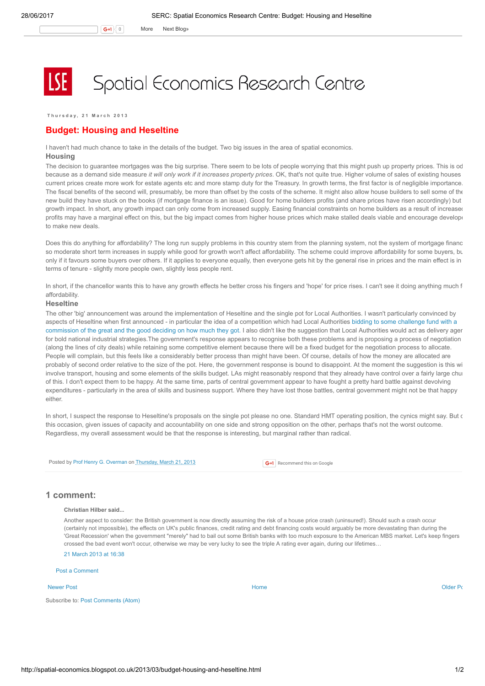$\mathsf{G}$ +1  $\vert$  0 More Next [Blog»](https://www.blogger.com/next-blog?navBar=true&blogID=974562301377041914)

# Spatial Economics Research Centre

T h u r s d a y , 2 1 M a r c h 2 0 1 3

### Budget: Housing and Heseltine

I haven't had much chance to take in the details of the budget. Two big issues in the area of spatial economics.

# Housing

The decision to guarantee mortgages was the big surprise. There seem to be lots of people worrying that this might push up property prices. This is od because as a demand side measure it will only work if it increases property prices. OK, that's not quite true. Higher volume of sales of existing houses current prices create more work for estate agents etc and more stamp duty for the Treasury. In growth terms, the first factor is of negligible importance. The fiscal benefits of the second will, presumably, be more than offset by the costs of the scheme. It might also allow house builders to sell some of the new build they have stuck on the books (if mortgage finance is an issue). Good for home builders profits (and share prices have risen accordingly) but growth impact. In short, any growth impact can only come from increased supply. Easing financial constraints on home builders as a result of increaser profits may have a marginal effect on this, but the big impact comes from higher house prices which make stalled deals viable and encourage develope to make new deals.

Does this do anything for affordability? The long run supply problems in this country stem from the planning system, not the system of mortgage financ so moderate short term increases in supply while good for growth won't affect affordability. The scheme could improve affordability for some buyers, but only if it favours some buyers over others. If it applies to everyone equally, then everyone gets hit by the general rise in prices and the main effect is in terms of tenure - slightly more people own, slightly less people rent.

In short, if the chancellor wants this to have any growth effects he better cross his fingers and 'hope' for price rises. I can't see it doing anything much f affordability.

#### **Heseltine**

The other 'big' announcement was around the implementation of Heseltine and the single pot for Local Authorities. I wasn't particularly convinced by aspects of Heseltine when first announced - in particular the idea of a competition which had Local Authorities bidding to some challenge fund with a [commission](http://spatial-economics.blogspot.co.uk/2012/11/the-heseltine-report.html) of the great and the good deciding on how much they got. I also didn't like the suggestion that Local Authorities would act as delivery ager for bold national industrial strategies.The government's response appears to recognise both these problems and is proposing a process of negotiation (along the lines of city deals) while retaining some competitive element because there will be a fixed budget for the negotiation process to allocate. People will complain, but this feels like a considerably better process than might have been. Of course, details of how the money are allocated are probably of second order relative to the size of the pot. Here, the government response is bound to disappoint. At the moment the suggestion is this wi involve transport, housing and some elements of the skills budget. LAs might reasonably respond that they already have control over a fairly large chur of this. I don't expect them to be happy. At the same time, parts of central government appear to have fought a pretty hard battle against devolving expenditures - particularly in the area of skills and business support. Where they have lost those battles, central government might not be that happy either.

In short, I suspect the response to Heseltine's proposals on the single pot please no one. Standard HMT operating position, the cynics might say. But on this occasion, given issues of capacity and accountability on one side and strong opposition on the other, perhaps that's not the worst outcome. Regardless, my overall assessment would be that the response is interesting, but marginal rather than radical.

Posted by Prof Henry G. [Overman](https://www.blogger.com/profile/15203876610491317062) on [Thursday,](http://spatial-economics.blogspot.co.uk/2013/03/budget-housing-and-heseltine.html) March 21, 2013

**G+1** Recommend this on Google

## 1 comment:

#### Christian Hilber said...

Another aspect to consider: the British government is now directly assuming the risk of a house price crash (uninsured!). Should such a crash occur (certainly not impossible), the effects on UK's public finances, credit rating and debt financing costs would arguably be more devastating than during the 'Great Recession' when the government "merely" had to bail out some British banks with too much exposure to the American MBS market. Let's keep fingers crossed the bad event won't occur, otherwise we may be very lucky to see the triple A rating ever again, during our lifetimes…

21 [March](http://spatial-economics.blogspot.com/2013/03/budget-housing-and-heseltine.html?showComment=1363883889905#c8750851546696674632) 2013 at 16:38

Post a [Comment](https://www.blogger.com/comment.g?blogID=974562301377041914&postID=1834519957345536409)

#### [Newer](http://spatial-economics.blogspot.co.uk/2013/03/qe-next-bubble.html) Post **New Accounts Accounts Accounts Accounts** [Home](http://spatial-economics.blogspot.co.uk/) **Home** Accounts Accounts Accounts [Older](http://spatial-economics.blogspot.co.uk/2013/03/want-to-live-somewhere-nice-be-ready-to.html) Post of the Older Po

Subscribe to: Post [Comments](http://spatial-economics.blogspot.com/feeds/1834519957345536409/comments/default) (Atom)